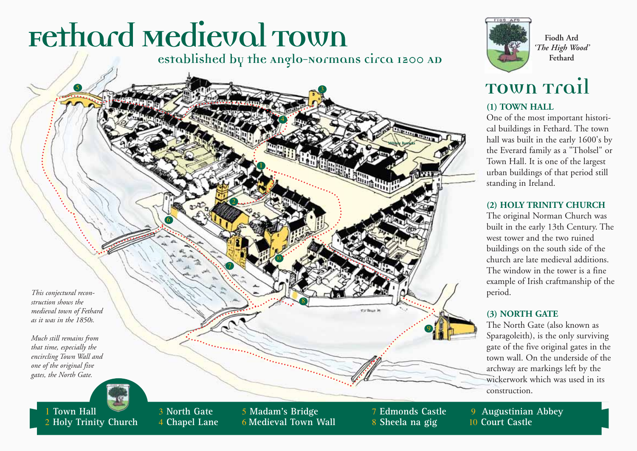## Fethard Medieval Town

<sup>4</sup> **Chapel Lane**

<sup>2</sup> **Holy Trinity Church**

#### **established by the Anglo-Normans circa 1200 AD**





**Fiodh Ard** *'The High Wood'* **Fethard**

### **Town Trail**

#### **(1) TOWN HALL**

One of the most important historical buildings in Fethard. The town hall was built in the early 1600's by the Everard family as a "Tholsel" or Town Hall. It is one of the largest urban buildings of that period still standing in Ireland.

#### **(2) HOLY TRINITY CHURCH**

The original Norman Church was built in the early 13th Century. The west tower and the two ruined buildings on the south side of the church are late medieval additions. The window in the tower is a fine example of Irish craftmanship of the period.

#### **(3) NORTH GATE**

The North Gate (also known as Sparagoleith), is the only surviving gate of the five original gates in the town wall. On the underside of the archway are markings left by the wickerwork which was used in its construction.

<sup>9</sup> **Augustinian Abbey** 10 **Court Castle**

<sup>8</sup> **Sheela na gig**